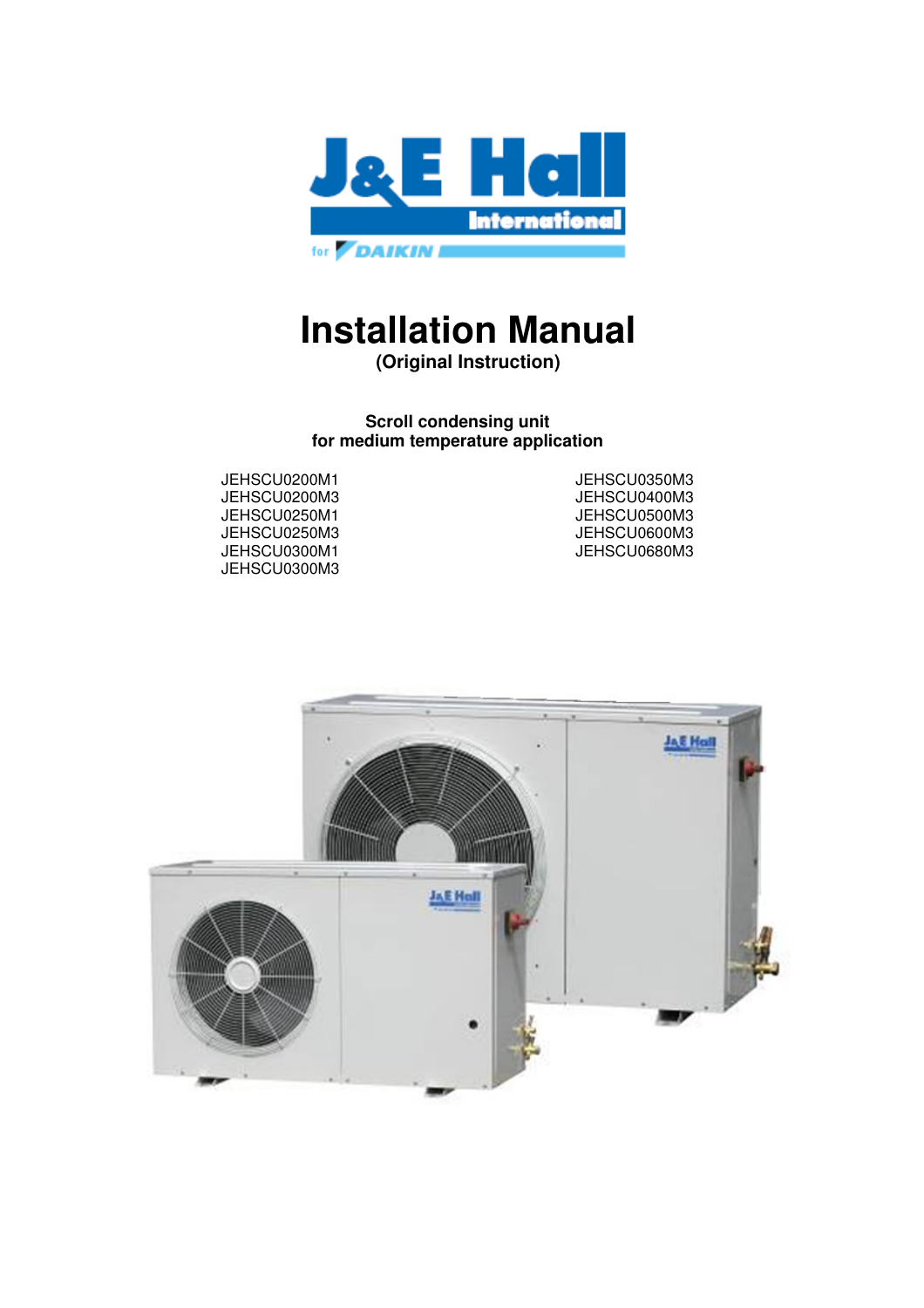

# **Installation Manual**

**(Original Instruction)** 

**Scroll condensing unit for medium temperature application** 

JEHSCU0200M1 JEHSCU0350M3 JEHSCU0400M3 JEHSCU0680M3

JEHSCU0250M1 JEHSCU0500M3 JEHSCU0250M3 JEHSCU0600M3 JEHSCU0300M3

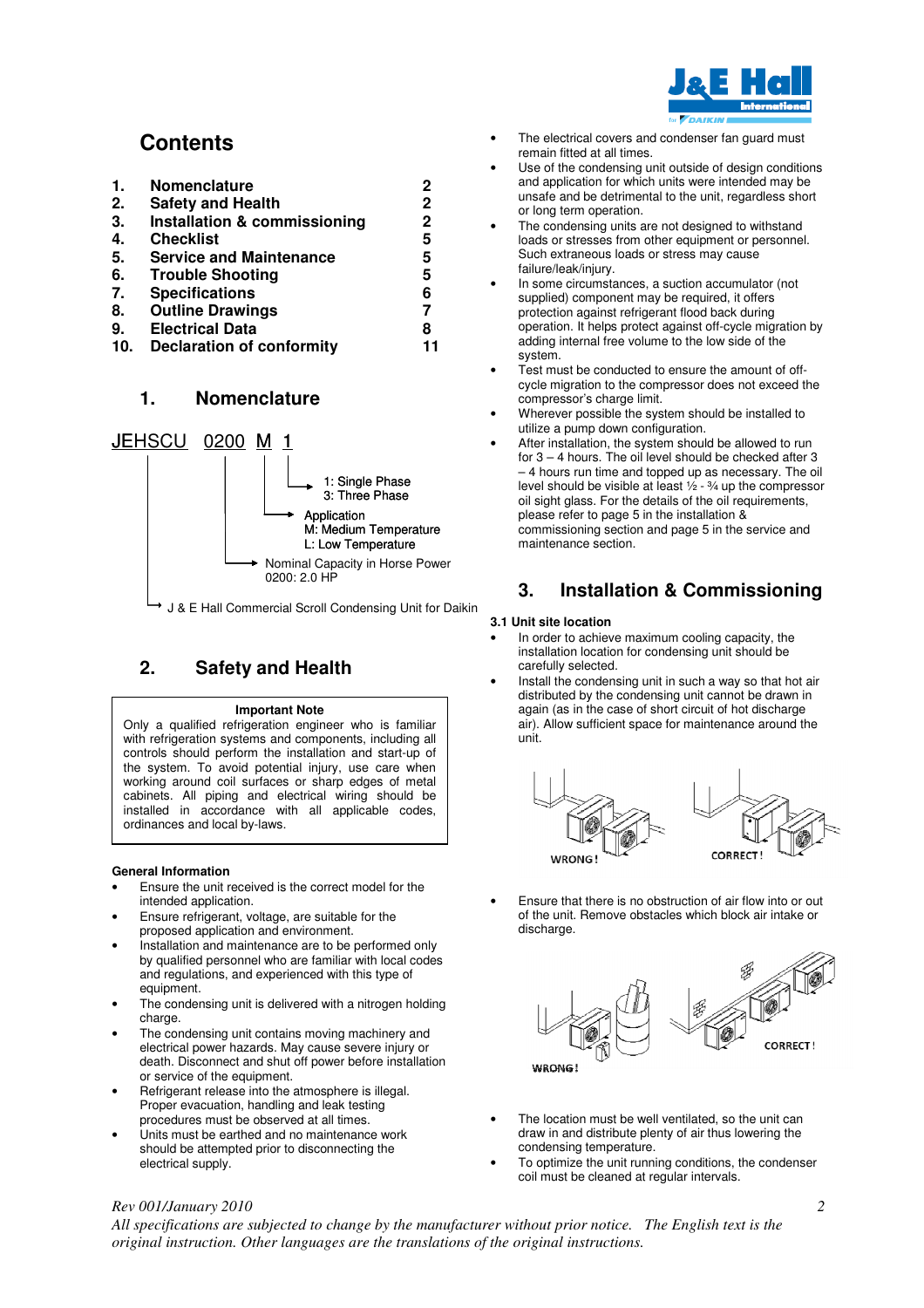

## **Contents**

| 1. | <b>Nomenclature</b>            | 2            |
|----|--------------------------------|--------------|
| 2. | <b>Safety and Health</b>       | 2            |
| 3. | Installation & commissioning   | $\mathbf{2}$ |
| 4. | <b>Checklist</b>               | 5            |
| 5. | <b>Service and Maintenance</b> | 5            |
| 6. | <b>Trouble Shooting</b>        | 5            |
| 7. | <b>Specifications</b>          | 6            |
| 8. | <b>Outline Drawings</b>        |              |
| 9. | <b>Electrical Data</b>         | 8            |

**10. Declaration of conformity 11** 

### **1. Nomenclature**



J & E Hall Commercial Scroll Condensing Unit for Daikin

## **2. Safety and Health**

#### **Important Note**

Only a qualified refrigeration engineer who is familiar with refrigeration systems and components, including all controls should perform the installation and start-up of the system. To avoid potential injury, use care when working around coil surfaces or sharp edges of metal cabinets. All piping and electrical wiring should be installed in accordance with all applicable codes, ordinances and local by-laws.

#### **General Information**

- Ensure the unit received is the correct model for the intended application.
- Ensure refrigerant, voltage, are suitable for the proposed application and environment.
- Installation and maintenance are to be performed only by qualified personnel who are familiar with local codes and regulations, and experienced with this type of equipment.
- The condensing unit is delivered with a nitrogen holding charge.
- The condensing unit contains moving machinery and electrical power hazards. May cause severe injury or death. Disconnect and shut off power before installation or service of the equipment.
- Refrigerant release into the atmosphere is illegal. Proper evacuation, handling and leak testing procedures must be observed at all times.
- Units must be earthed and no maintenance work should be attempted prior to disconnecting the electrical supply.
- The electrical covers and condenser fan guard must remain fitted at all times.
- Use of the condensing unit outside of design conditions and application for which units were intended may be unsafe and be detrimental to the unit, regardless short or long term operation.
- The condensing units are not designed to withstand loads or stresses from other equipment or personnel. Such extraneous loads or stress may cause failure/leak/injury.
- In some circumstances, a suction accumulator (not supplied) component may be required, it offers protection against refrigerant flood back during operation. It helps protect against off-cycle migration by adding internal free volume to the low side of the system.
- Test must be conducted to ensure the amount of offcycle migration to the compressor does not exceed the compressor's charge limit.
- Wherever possible the system should be installed to utilize a pump down configuration.
- After installation, the system should be allowed to run for 3 – 4 hours. The oil level should be checked after 3 – 4 hours run time and topped up as necessary. The oil level should be visible at least ½ - ¾ up the compressor oil sight glass. For the details of the oil requirements, please refer to page 5 in the installation & commissioning section and page 5 in the service and maintenance section.

## **3. Installation & Commissioning**

#### **3.1 Unit site location**

- In order to achieve maximum cooling capacity, the installation location for condensing unit should be carefully selected.
- Install the condensing unit in such a way so that hot air distributed by the condensing unit cannot be drawn in again (as in the case of short circuit of hot discharge air). Allow sufficient space for maintenance around the unit.



• Ensure that there is no obstruction of air flow into or out of the unit. Remove obstacles which block air intake or discharge.



- The location must be well ventilated, so the unit can draw in and distribute plenty of air thus lowering the condensing temperature.
- To optimize the unit running conditions, the condenser coil must be cleaned at regular intervals.

#### *Rev 001/January 2010*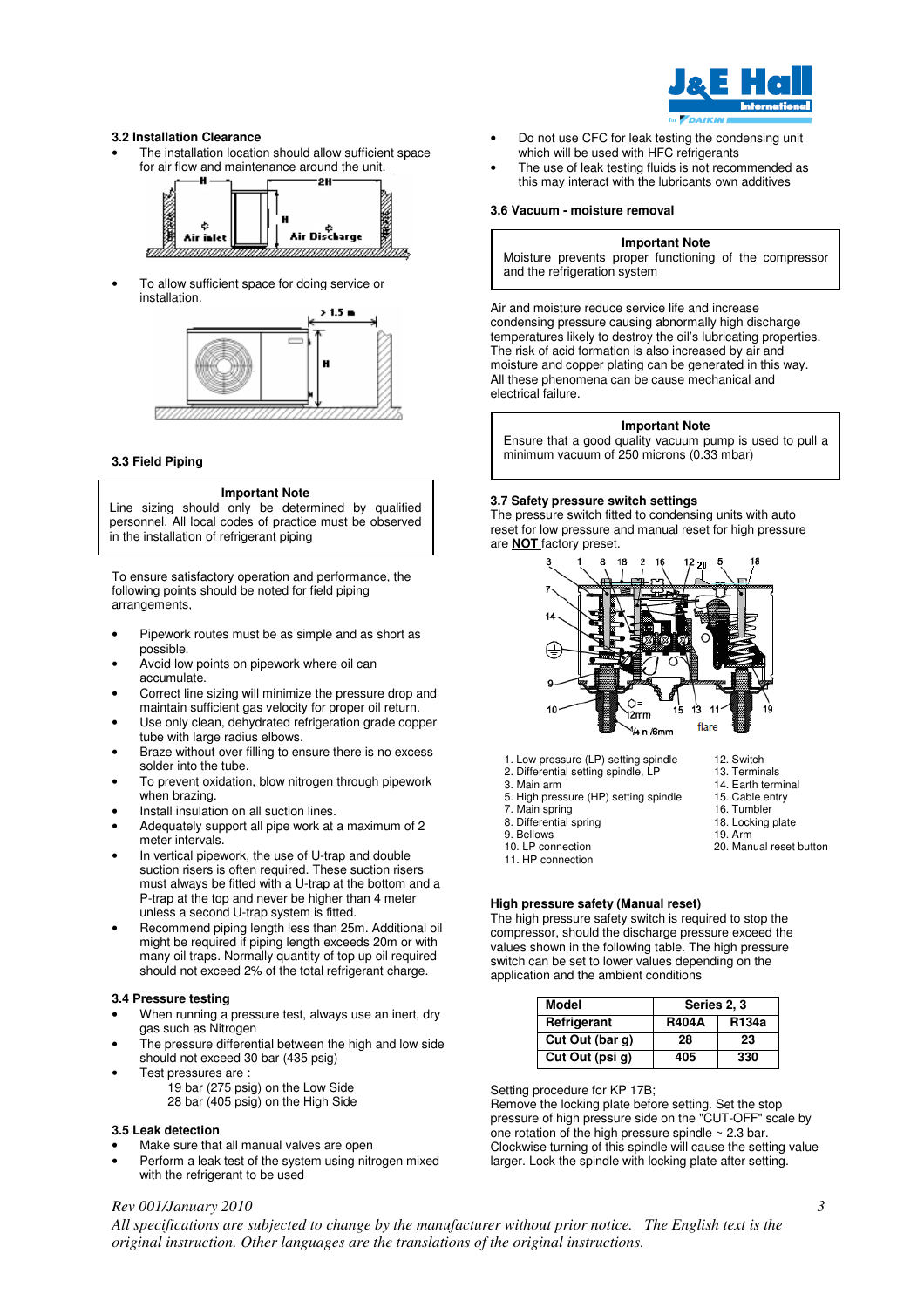

#### **3.2 Installation Clearance**

The installation location should allow sufficient space for air flow and maintenance around the unit.



• To allow sufficient space for doing service or installation.



#### **3.3 Field Piping**

#### **Important Note**

Line sizing should only be determined by qualified personnel. All local codes of practice must be observed in the installation of refrigerant piping

To ensure satisfactory operation and performance, the following points should be noted for field piping arrangements,

- Pipework routes must be as simple and as short as possible.
- Avoid low points on pipework where oil can accumulate.
- Correct line sizing will minimize the pressure drop and maintain sufficient gas velocity for proper oil return.
- Use only clean, dehydrated refrigeration grade copper tube with large radius elbows.
- Braze without over filling to ensure there is no excess solder into the tube.
- To prevent oxidation, blow nitrogen through pipework when brazing.
- Install insulation on all suction lines.
- Adequately support all pipe work at a maximum of 2 meter intervals.
- In vertical pipework, the use of U-trap and double suction risers is often required. These suction risers must always be fitted with a U-trap at the bottom and a P-trap at the top and never be higher than 4 meter unless a second U-trap system is fitted.
- Recommend piping length less than 25m. Additional oil might be required if piping length exceeds 20m or with many oil traps. Normally quantity of top up oil required should not exceed 2% of the total refrigerant charge.

#### **3.4 Pressure testing**

- When running a pressure test, always use an inert, dry gas such as Nitrogen
- The pressure differential between the high and low side should not exceed 30 bar (435 psig)
- Test pressures are :
	- 19 bar (275 psig) on the Low Side 28 bar (405 psig) on the High Side

#### **3.5 Leak detection**

- Make sure that all manual valves are open
- Perform a leak test of the system using nitrogen mixed with the refrigerant to be used
- Do not use CFC for leak testing the condensing unit which will be used with HFC refrigerants
- The use of leak testing fluids is not recommended as this may interact with the lubricants own additives

#### **3.6 Vacuum - moisture removal**

#### **Important Note**

Moisture prevents proper functioning of the compressor and the refrigeration system

Air and moisture reduce service life and increase condensing pressure causing abnormally high discharge temperatures likely to destroy the oil's lubricating properties. The risk of acid formation is also increased by air and moisture and copper plating can be generated in this way. All these phenomena can be cause mechanical and electrical failure.

#### **Important Note**

Ensure that a good quality vacuum pump is used to pull a minimum vacuum of 250 microns (0.33 mbar)

#### **3.7 Safety pressure switch settings**

The pressure switch fitted to condensing units with auto reset for low pressure and manual reset for high pressure are **NOT** factory preset.



12. Switch 13. Terminals 14. Earth terminal 15. Cable entry 16. Tumbler 18. Locking plate 19. Arm

20. Manual reset button

- 1. Low pressure (LP) setting spindle
- 2. Differential setting spindle, LP
- 3. Main arm
- 5. High pressure (HP) setting spindle 7. Main spring
	-
- 8. Differential spring
- 9. Bellows
- 10. LP connection
- 11. HP connection

#### **High pressure safety (Manual reset)**

The high pressure safety switch is required to stop the compressor, should the discharge pressure exceed the values shown in the following table. The high pressure switch can be set to lower values depending on the application and the ambient conditions

| Model           | Series 2, 3  |                   |
|-----------------|--------------|-------------------|
| Refrigerant     | <b>R404A</b> | R <sub>134a</sub> |
| Cut Out (bar g) | 28           | 23                |
| Cut Out (psi g) | 405          | 330               |

Setting procedure for KP 17B;

Remove the locking plate before setting. Set the stop pressure of high pressure side on the "CUT-OFF" scale by one rotation of the high pressure spindle  $\sim$  2.3 bar. Clockwise turning of this spindle will cause the setting value larger. Lock the spindle with locking plate after setting.

### *Rev 001/January 2010*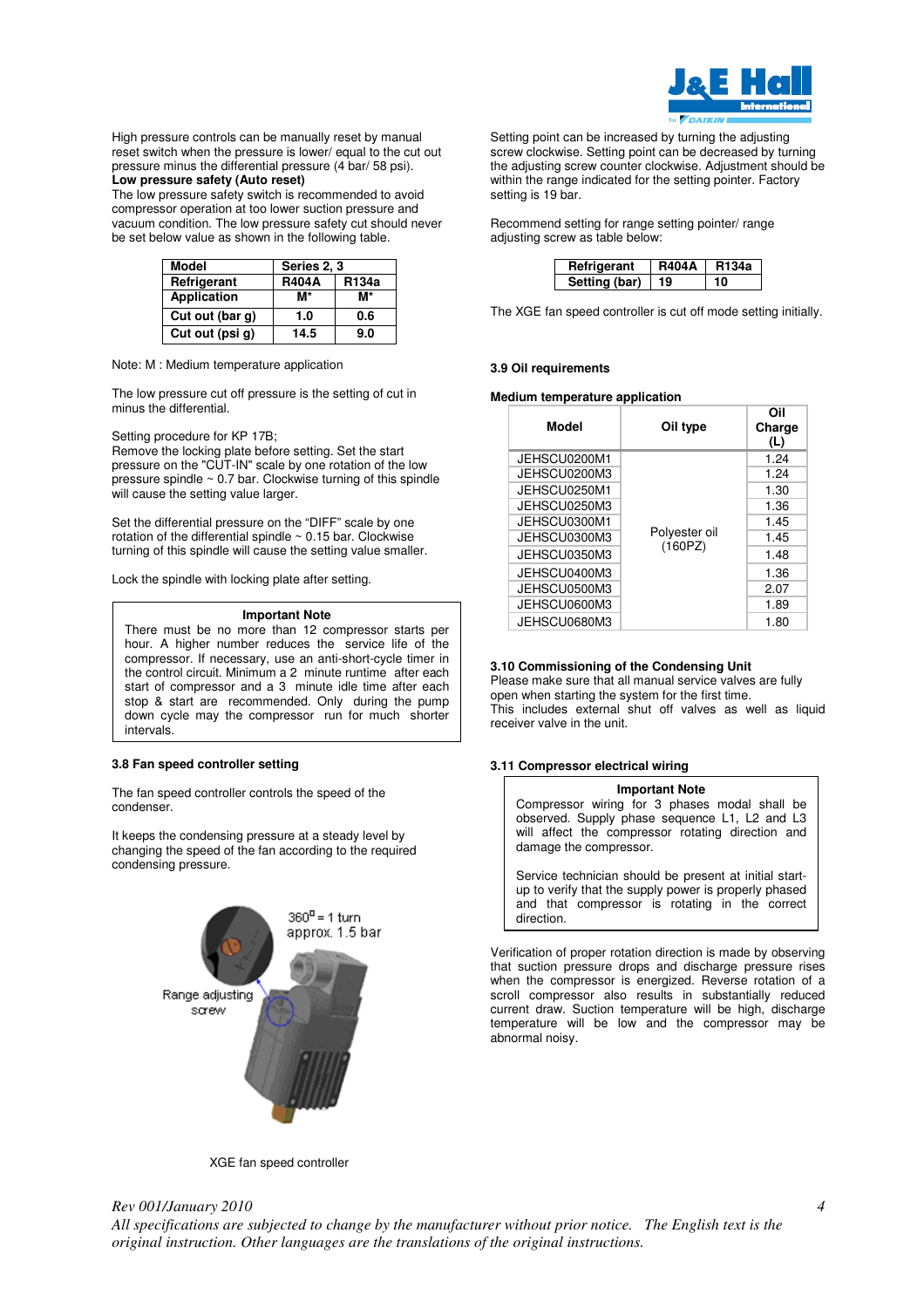

High pressure controls can be manually reset by manual reset switch when the pressure is lower/ equal to the cut out pressure minus the differential pressure (4 bar/ 58 psi). **Low pressure safety (Auto reset)**

The low pressure safety switch is recommended to avoid compressor operation at too lower suction pressure and vacuum condition. The low pressure safety cut should never be set below value as shown in the following table.

| Model              | Series 2, 3  |       |  |  |  |  |  |  |
|--------------------|--------------|-------|--|--|--|--|--|--|
| Refrigerant        | <b>R404A</b> | R134a |  |  |  |  |  |  |
| <b>Application</b> | M*           | M*    |  |  |  |  |  |  |
| Cut out (bar g)    | 1.0          | 0.6   |  |  |  |  |  |  |
| Cut out (psi g)    | 14.5         | 9.0   |  |  |  |  |  |  |

Note: M : Medium temperature application

The low pressure cut off pressure is the setting of cut in minus the differential.

Setting procedure for KP 17B;

Remove the locking plate before setting. Set the start pressure on the "CUT-IN" scale by one rotation of the low pressure spindle  $\sim 0.7$  bar. Clockwise turning of this spindle will cause the setting value larger.

Set the differential pressure on the "DIFF" scale by one rotation of the differential spindle  $\sim 0.15$  bar. Clockwise turning of this spindle will cause the setting value smaller.

Lock the spindle with locking plate after setting.

#### **Important Note**

There must be no more than 12 compressor starts per hour. A higher number reduces the service life of the compressor. If necessary, use an anti-short-cycle timer in the control circuit. Minimum a 2 minute runtime after each start of compressor and a 3 minute idle time after each stop & start are recommended. Only during the pump down cycle may the compressor run for much shorter intervals.

#### **3.8 Fan speed controller setting**

The fan speed controller controls the speed of the condenser.

It keeps the condensing pressure at a steady level by changing the speed of the fan according to the required condensing pressure.



Setting point can be increased by turning the adjusting screw clockwise. Setting point can be decreased by turning the adjusting screw counter clockwise. Adjustment should be within the range indicated for the setting pointer. Factory setting is 19 bar.

Recommend setting for range setting pointer/ range adjusting screw as table below:

| Refrigerant   | <b>R404A</b> | <b>R134a</b> |  |  |  |
|---------------|--------------|--------------|--|--|--|
| Setting (bar) | 19.          |              |  |  |  |

The XGE fan speed controller is cut off mode setting initially.

#### **3.9 Oil requirements**

#### **Medium temperature application**

| Model        | Oil type      | Oil<br>Charge<br>(L) |
|--------------|---------------|----------------------|
| JEHSCU0200M1 |               | 1.24                 |
| JEHSCU0200M3 |               | 1.24                 |
| JEHSCU0250M1 | Polyester oil | 1.30                 |
| JEHSCU0250M3 |               | 1.36                 |
| JEHSCU0300M1 |               | 1.45                 |
| JEHSCU0300M3 |               | 1.45                 |
| JEHSCU0350M3 | (160PZ)       | 1.48                 |
| JEHSCU0400M3 |               | 1.36                 |
| JEHSCU0500M3 |               | 2.07                 |
| JEHSCU0600M3 |               | 1.89                 |
| JEHSCU0680M3 |               | 1.80                 |

#### **3.10 Commissioning of the Condensing Unit**

Please make sure that all manual service valves are fully open when starting the system for the first time. This includes external shut off valves as well as liquid receiver valve in the unit.

#### **3.11 Compressor electrical wiring**

#### **Important Note**

Compressor wiring for 3 phases modal shall be observed. Supply phase sequence L1, L2 and L3 will affect the compressor rotating direction and damage the compressor.

Service technician should be present at initial startup to verify that the supply power is properly phased and that compressor is rotating in the correct direction.

Verification of proper rotation direction is made by observing that suction pressure drops and discharge pressure rises when the compressor is energized. Reverse rotation of a scroll compressor also results in substantially reduced current draw. Suction temperature will be high, discharge temperature will be low and the compressor may be abnormal noisy.

XGE fan speed controller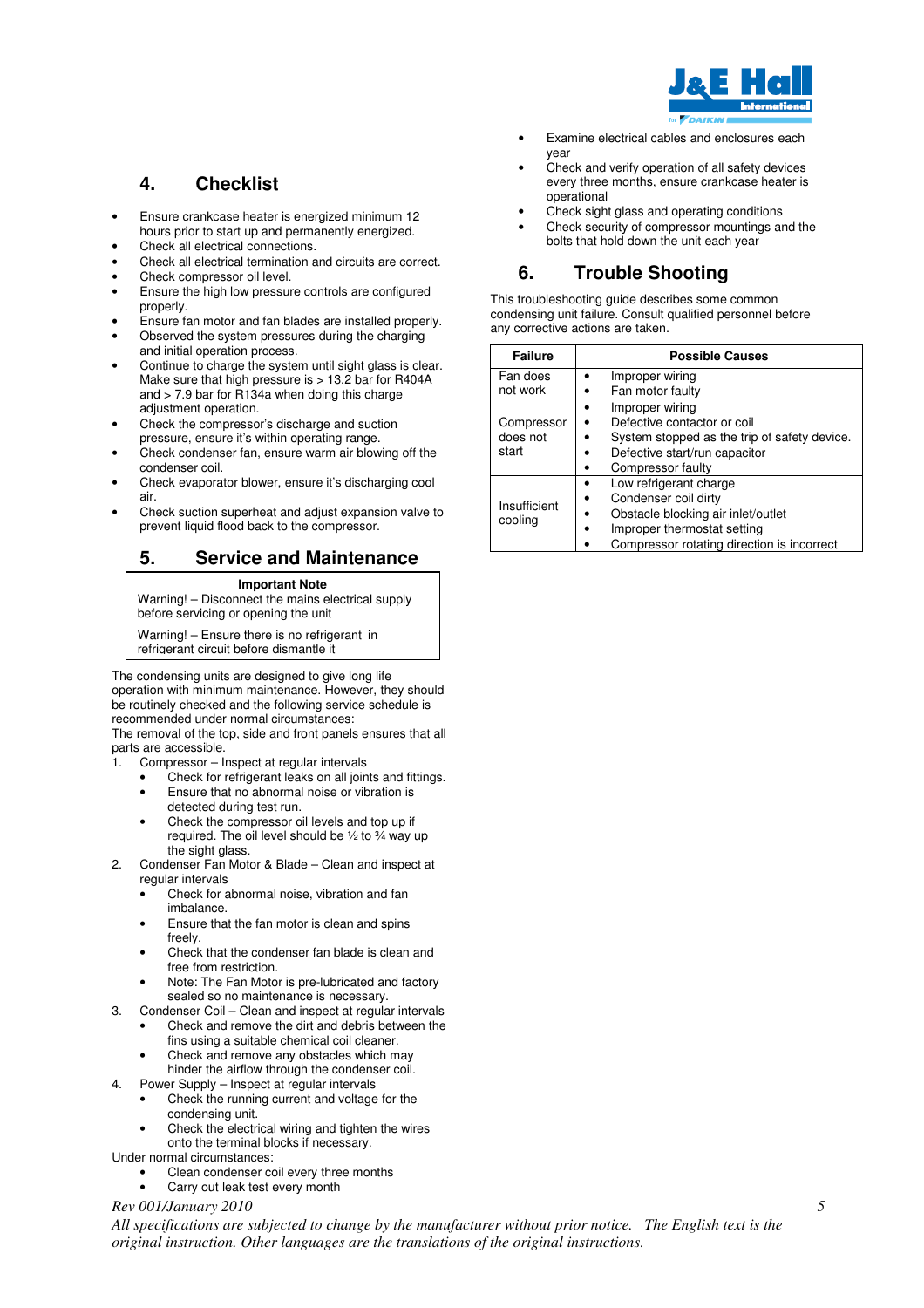

Examine electrical cables and enclosures each year

#### Check and verify operation of all safety devices every three months, ensure crankcase heater is operational

- Check sight glass and operating conditions
- Check security of compressor mountings and the bolts that hold down the unit each year

## **6. Trouble Shooting**

This troubleshooting guide describes some common condensing unit failure. Consult qualified personnel before any corrective actions are taken.

| <b>Failure</b> | <b>Possible Causes</b>                       |  |  |  |  |  |  |
|----------------|----------------------------------------------|--|--|--|--|--|--|
| Fan does       | Improper wiring                              |  |  |  |  |  |  |
| not work       | Fan motor faulty                             |  |  |  |  |  |  |
|                | Improper wiring                              |  |  |  |  |  |  |
| Compressor     | Defective contactor or coil                  |  |  |  |  |  |  |
| does not       | System stopped as the trip of safety device. |  |  |  |  |  |  |
| start          | Defective start/run capacitor                |  |  |  |  |  |  |
|                | Compressor faulty                            |  |  |  |  |  |  |
|                | Low refrigerant charge                       |  |  |  |  |  |  |
| Insufficient   | Condenser coil dirty                         |  |  |  |  |  |  |
| cooling        | Obstacle blocking air inlet/outlet           |  |  |  |  |  |  |
|                | Improper thermostat setting                  |  |  |  |  |  |  |
|                | Compressor rotating direction is incorrect   |  |  |  |  |  |  |

## **4. Checklist**

- Ensure crankcase heater is energized minimum 12 hours prior to start up and permanently energized.
- Check all electrical connections.
- Check all electrical termination and circuits are correct.
- Check compressor oil level
- Ensure the high low pressure controls are configured properly.
- Ensure fan motor and fan blades are installed properly. • Observed the system pressures during the charging and initial operation process.
- Continue to charge the system until sight glass is clear. Make sure that high pressure is > 13.2 bar for R404A and > 7.9 bar for R134a when doing this charge adjustment operation.
- Check the compressor's discharge and suction pressure, ensure it's within operating range.
- Check condenser fan, ensure warm air blowing off the condenser coil.
- Check evaporator blower, ensure it's discharging cool air.
- Check suction superheat and adjust expansion valve to prevent liquid flood back to the compressor.

## **5. Service and Maintenance**

#### **Important Note**

Warning! – Disconnect the mains electrical supply before servicing or opening the unit

Warning! – Ensure there is no refrigerant in refrigerant circuit before dismantle it

The condensing units are designed to give long life operation with minimum maintenance. However, they should be routinely checked and the following service schedule is recommended under normal circumstances:

The removal of the top, side and front panels ensures that all parts are accessible.

- Compressor Inspect at regular intervals
	- Check for refrigerant leaks on all joints and fittings. • Ensure that no abnormal noise or vibration is
	- detected during test run.
	- Check the compressor oil levels and top up if required. The oil level should be ½ to ¾ way up the sight glass.
- 2. Condenser Fan Motor & Blade Clean and inspect at regular intervals
	- Check for abnormal noise, vibration and fan imbalance.
	- Ensure that the fan motor is clean and spins freely.
	- Check that the condenser fan blade is clean and free from restriction.
	- Note: The Fan Motor is pre-lubricated and factory sealed so no maintenance is necessary.
- 3. Condenser Coil Clean and inspect at regular intervals
	- Check and remove the dirt and debris between the fins using a suitable chemical coil cleaner.
		- Check and remove any obstacles which may hinder the airflow through the condenser coil.
- 4. Power Supply Inspect at regular intervals
	- Check the running current and voltage for the condensing unit.
	- Check the electrical wiring and tighten the wires onto the terminal blocks if necessary.

Under normal circumstances:

- Clean condenser coil every three months
- Carry out leak test every month

#### *Rev 001/January 2010*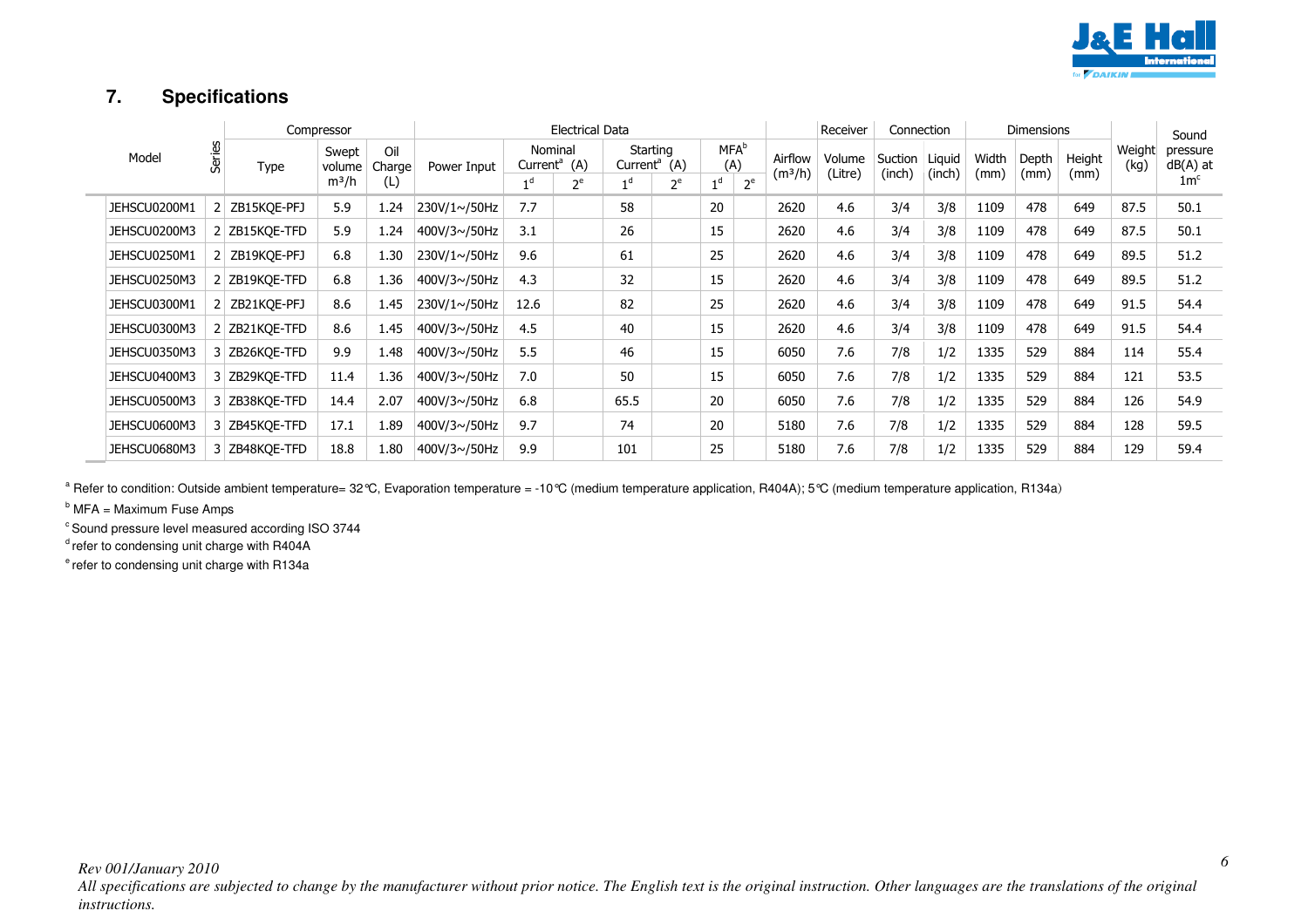

## **7. Specifications**

| Model |              |        |               |                 |               | Compressor   |                                        |  |                                      | Electrical Data |                                |       |                                |                   |                   | Receiver | Connection |        |        | <b>Dimensions</b> |                      |  | Sound          |
|-------|--------------|--------|---------------|-----------------|---------------|--------------|----------------------------------------|--|--------------------------------------|-----------------|--------------------------------|-------|--------------------------------|-------------------|-------------------|----------|------------|--------|--------|-------------------|----------------------|--|----------------|
|       |              | Series | <b>Type</b>   | Swept<br>volume | Oil<br>Charge | Power Input  | Nominal<br>Current <sup>a</sup><br>(A) |  | Starting<br>Current <sup>a</sup> (A) |                 | <b>MFA</b> <sup>b</sup><br>(A) |       | Airflow<br>(m <sup>3</sup> /h) | Volume<br>(Litre) | Suction<br>(inch) | Liquid   | Width      | Depth  | Height | Weight<br>(kg)    | pressure<br>dB(A) at |  |                |
|       |              |        |               |                 |               | $m^3/h$      | (L)                                    |  | 1 d                                  | $2^e$           | 1 <sup>d</sup>                 | $2^e$ | 1 <sup>d</sup>                 | $2^e$             |                   |          |            | (inch) | (mm)   | (mm)              | (mm)                 |  | 1 <sup>c</sup> |
|       | JEHSCU0200M1 |        | 2 ZB15KQE-PFJ | 5.9             | 1.24          | 230V/1~/50Hz | 7.7                                    |  | 58                                   |                 | 20                             |       | 2620                           | 4.6               | 3/4               | 3/8      | 1109       | 478    | 649    | 87.5              | 50.1                 |  |                |
|       | JEHSCU0200M3 |        | 2 ZB15KQE-TFD | 5.9             | 1.24          | 400V/3~/50Hz | 3.1                                    |  | 26                                   |                 | 15                             |       | 2620                           | 4.6               | 3/4               | 3/8      | 1109       | 478    | 649    | 87.5              | 50.1                 |  |                |
|       | JEHSCU0250M1 |        | 2 ZB19KQE-PFJ | 6.8             | 1.30          | 230V/1~/50Hz | 9.6                                    |  | 61                                   |                 | 25                             |       | 2620                           | 4.6               | 3/4               | 3/8      | 1109       | 478    | 649    | 89.5              | 51.2                 |  |                |
|       | JEHSCU0250M3 |        | 2 ZB19KQE-TFD | 6.8             | 1.36          | 400V/3~/50Hz | 4.3                                    |  | 32                                   |                 | 15                             |       | 2620                           | 4.6               | 3/4               | 3/8      | 1109       | 478    | 649    | 89.5              | 51.2                 |  |                |
|       | JEHSCU0300M1 |        | 2 ZB21KQE-PFJ | 8.6             | 1.45          | 230V/1~/50Hz | 12.6                                   |  | 82                                   |                 | 25                             |       | 2620                           | 4.6               | 3/4               | 3/8      | 1109       | 478    | 649    | 91.5              | 54.4                 |  |                |
|       | JEHSCU0300M3 |        | 2 ZB21KOE-TFD | 8.6             | 1.45          | 400V/3~/50Hz | 4.5                                    |  | 40                                   |                 | 15                             |       | 2620                           | 4.6               | 3/4               | 3/8      | 1109       | 478    | 649    | 91.5              | 54.4                 |  |                |
|       | JEHSCU0350M3 |        | 3 ZB26KQE-TFD | 9.9             | 1.48          | 400V/3~/50Hz | 5.5                                    |  | 46                                   |                 | 15                             |       | 6050                           | 7.6               | 7/8               | 1/2      | 1335       | 529    | 884    | 114               | 55.4                 |  |                |
|       | JEHSCU0400M3 |        | 3 ZB29KQE-TFD | 11.4            | 1.36          | 400V/3~/50Hz | 7.0                                    |  | 50                                   |                 | 15                             |       | 6050                           | 7.6               | 7/8               | 1/2      | 1335       | 529    | 884    | 121               | 53.5                 |  |                |
|       | JEHSCU0500M3 |        | 3 ZB38KQE-TFD | 14.4            | 2.07          | 400V/3~/50Hz | 6.8                                    |  | 65.5                                 |                 | 20                             |       | 6050                           | 7.6               | 7/8               | 1/2      | 1335       | 529    | 884    | 126               | 54.9                 |  |                |
|       | JEHSCU0600M3 |        | 3 ZB45KQE-TFD | 17.1            | 1.89          | 400V/3~/50Hz | 9.7                                    |  | 74                                   |                 | 20                             |       | 5180                           | 7.6               | 7/8               | 1/2      | 1335       | 529    | 884    | 128               | 59.5                 |  |                |
|       | JEHSCU0680M3 |        | 3 ZB48KQE-TFD | 18.8            | 1.80          | 400V/3~/50Hz | 9.9                                    |  | 101                                  |                 | 25                             |       | 5180                           | 7.6               | 7/8               | 1/2      | 1335       | 529    | 884    | 129               | 59.4                 |  |                |

<sup>a</sup> Refer to condition: Outside ambient temperature= 32°C, Evaporation temperature = -10°C (medium temperature application, R104A); 5°C (medium temperature application, R134a)

 $<sup>b</sup>$  MFA = Maximum Fuse Amps</sup>

 $\degree$  Sound pressure level measured according ISO 3744

 $d$  refer to condensing unit charge with R404A

 $e$  refer to condensing unit charge with R134a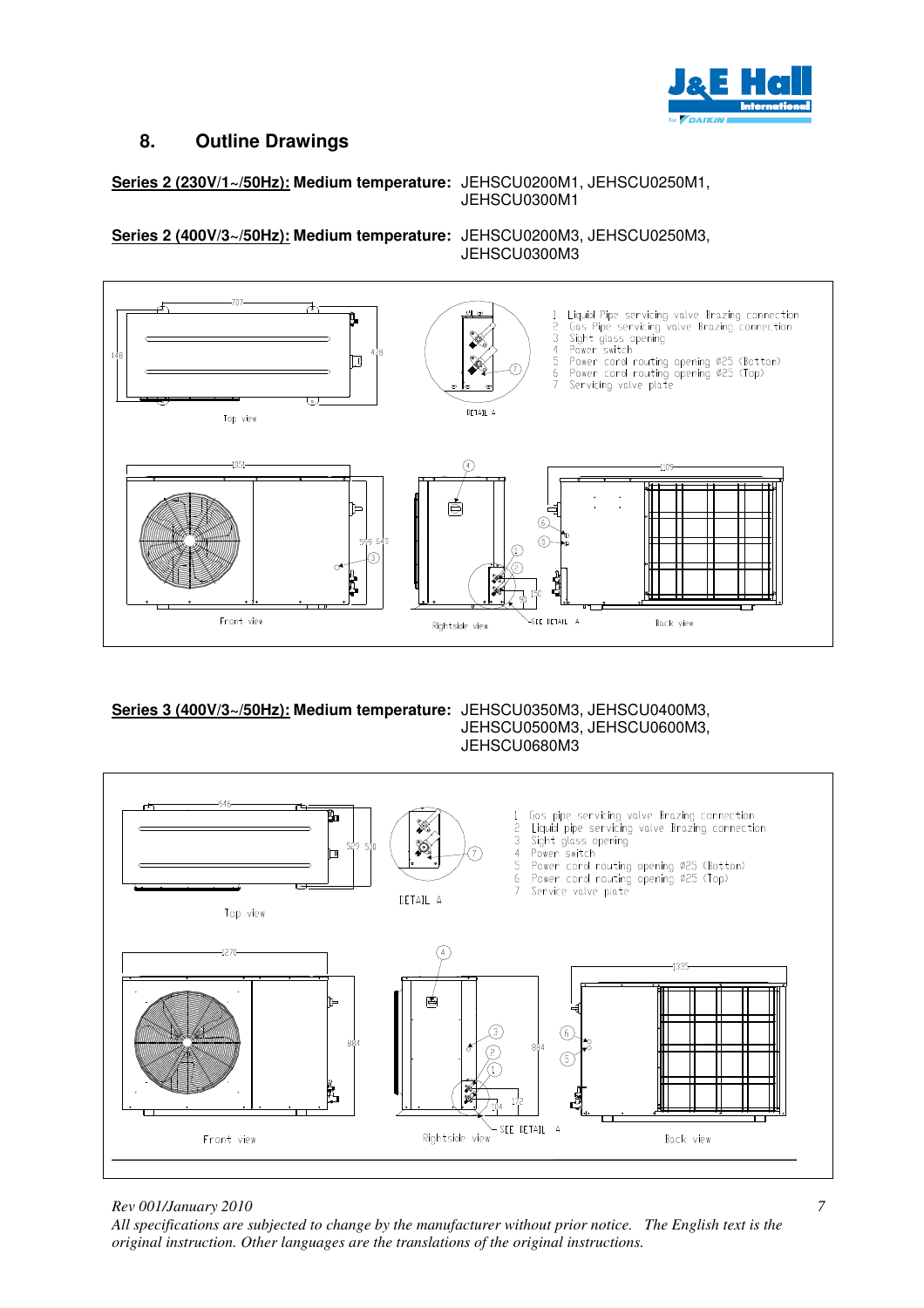

## **8. Outline Drawings**

#### **Series 2 (230V/1~/50Hz): Medium temperature:** JEHSCU0200M1, JEHSCU0250M1, JEHSCU0300M1

**Series 2 (400V/3~/50Hz): Medium temperature:** JEHSCU0200M3, JEHSCU0250M3,

JEHSCU0300M3



# **Series 3 (400V/3~/50Hz): Medium temperature:** JEHSCU0350M3, JEHSCU0400M3,

# JEHSCU0500M3, JEHSCU0600M3, JEHSCU0680M3



*Rev 001/January 2010*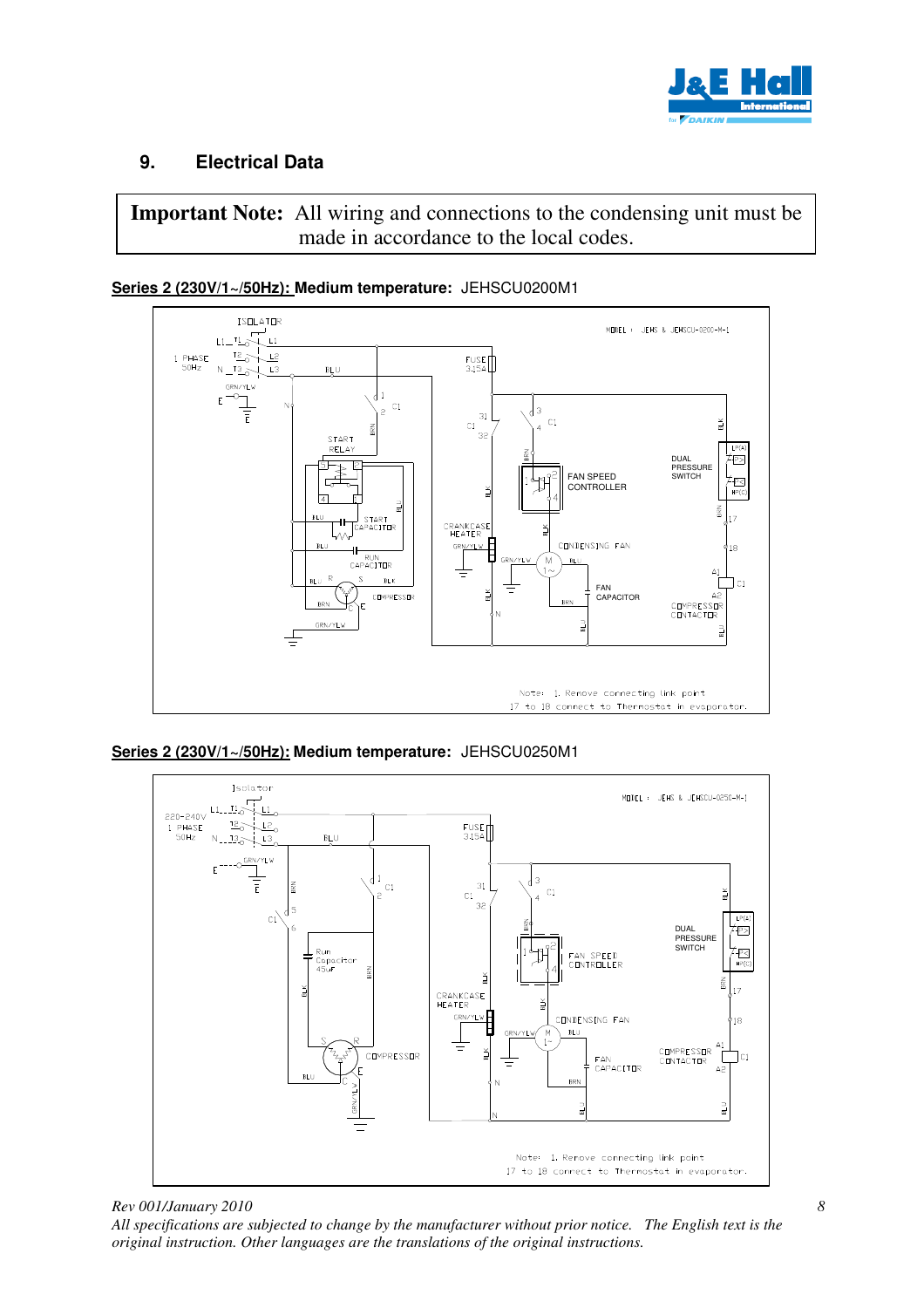

## **9. Electrical Data**

**Important Note:** All wiring and connections to the condensing unit must be made in accordance to the local codes.



**Series 2 (230V/1~/50Hz): Medium temperature:** JEHSCU0200M1

**Series 2 (230V/1~/50Hz): Medium temperature:** JEHSCU0250M1

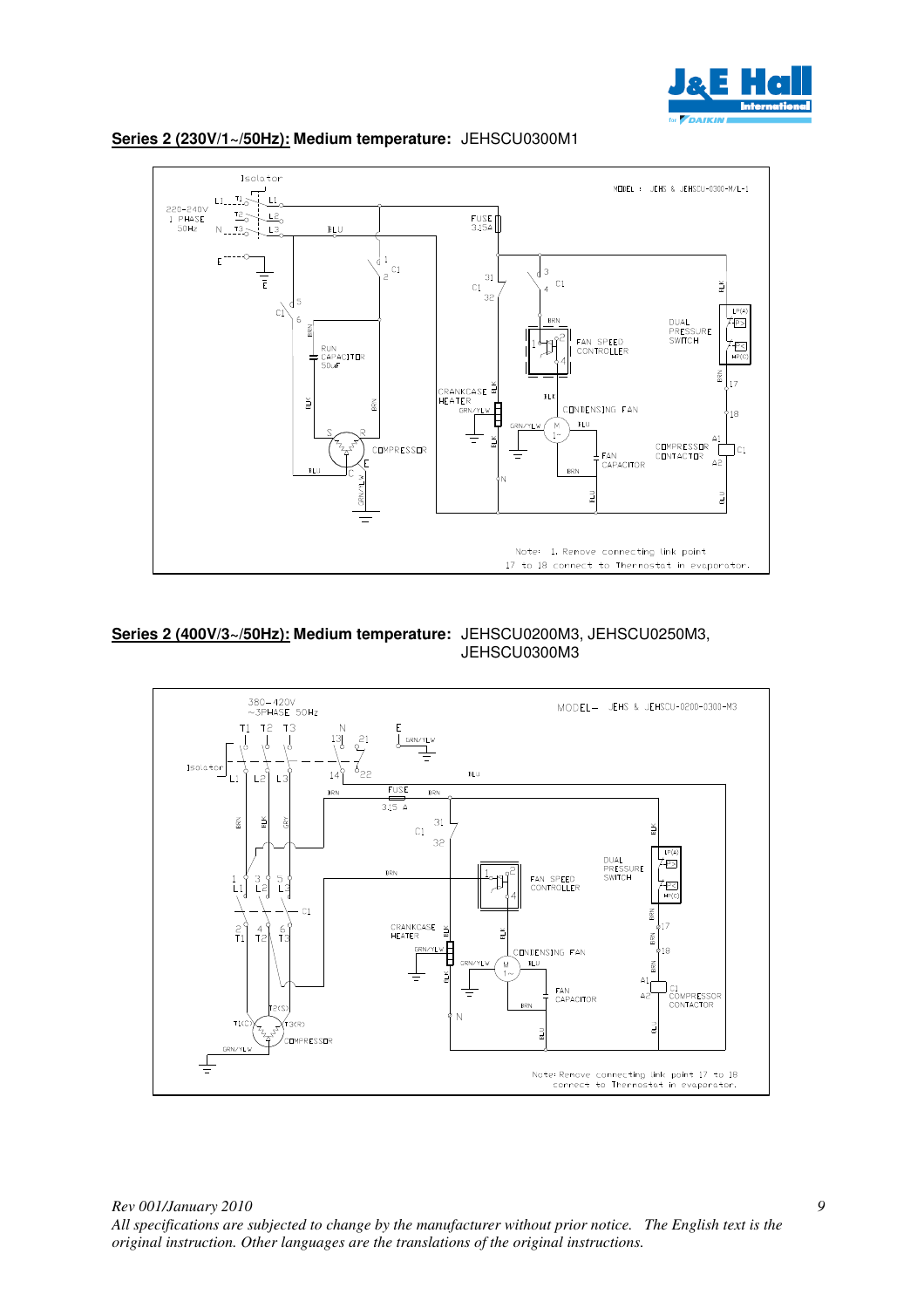



### **Series 2 (230V/1~/50Hz): Medium temperature:** JEHSCU0300M1



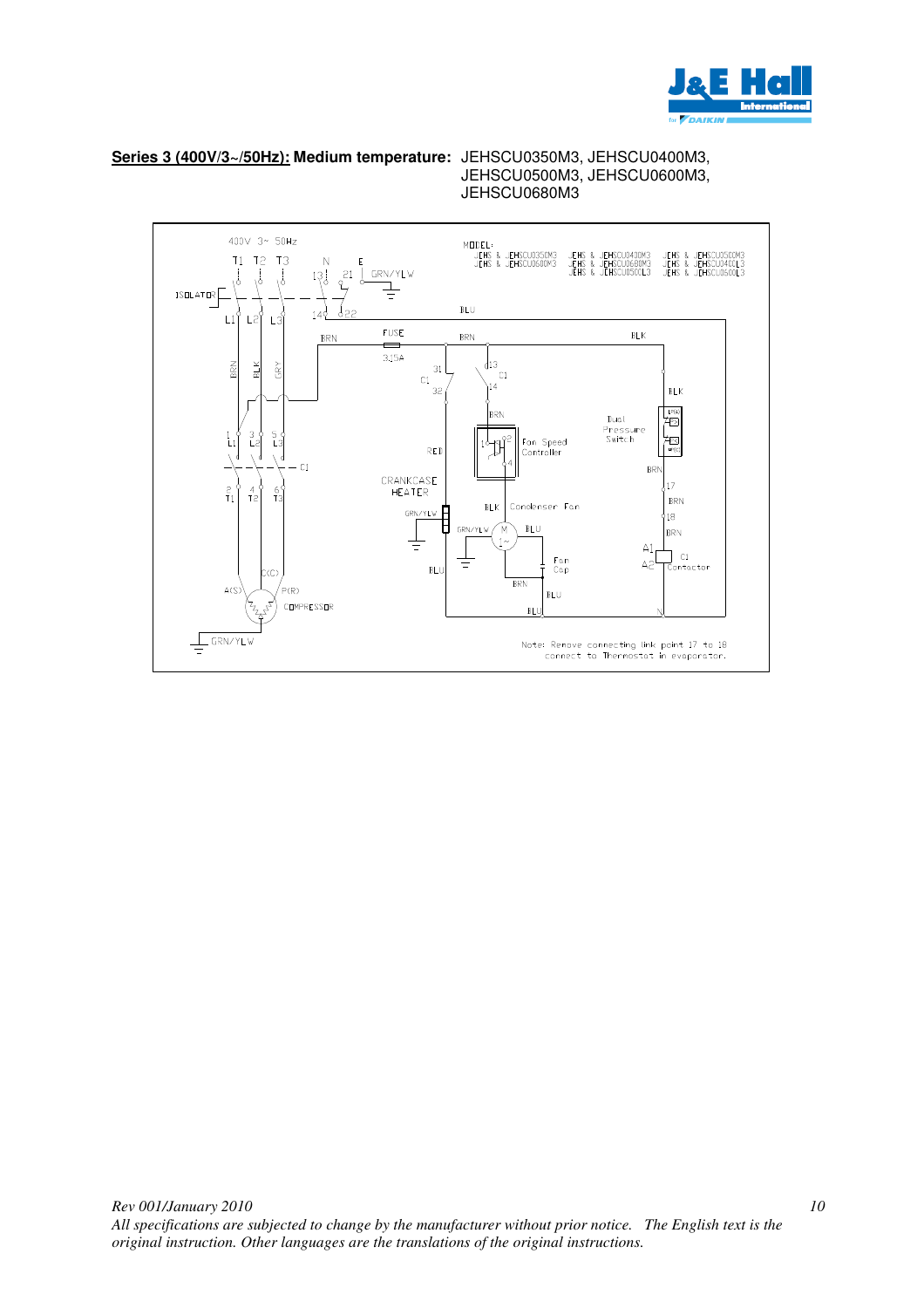

*10*

**Series 3 (400V/3~/50Hz): Medium temperature:** JEHSCU0350M3, JEHSCU0400M3,

JEHSCU0500M3, JEHSCU0600M3, JEHSCU0680M3

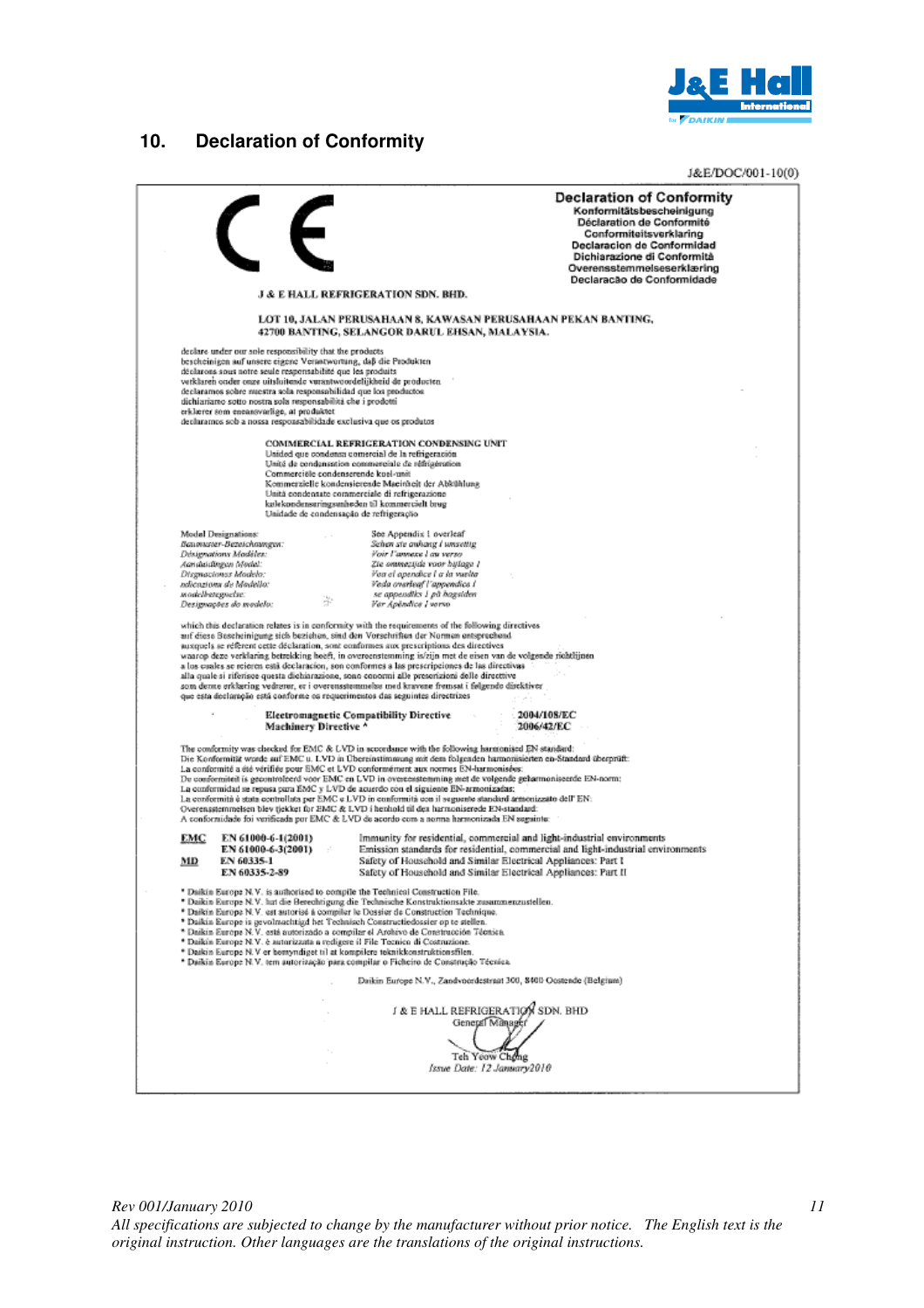

## **10. Declaration of Conformity**